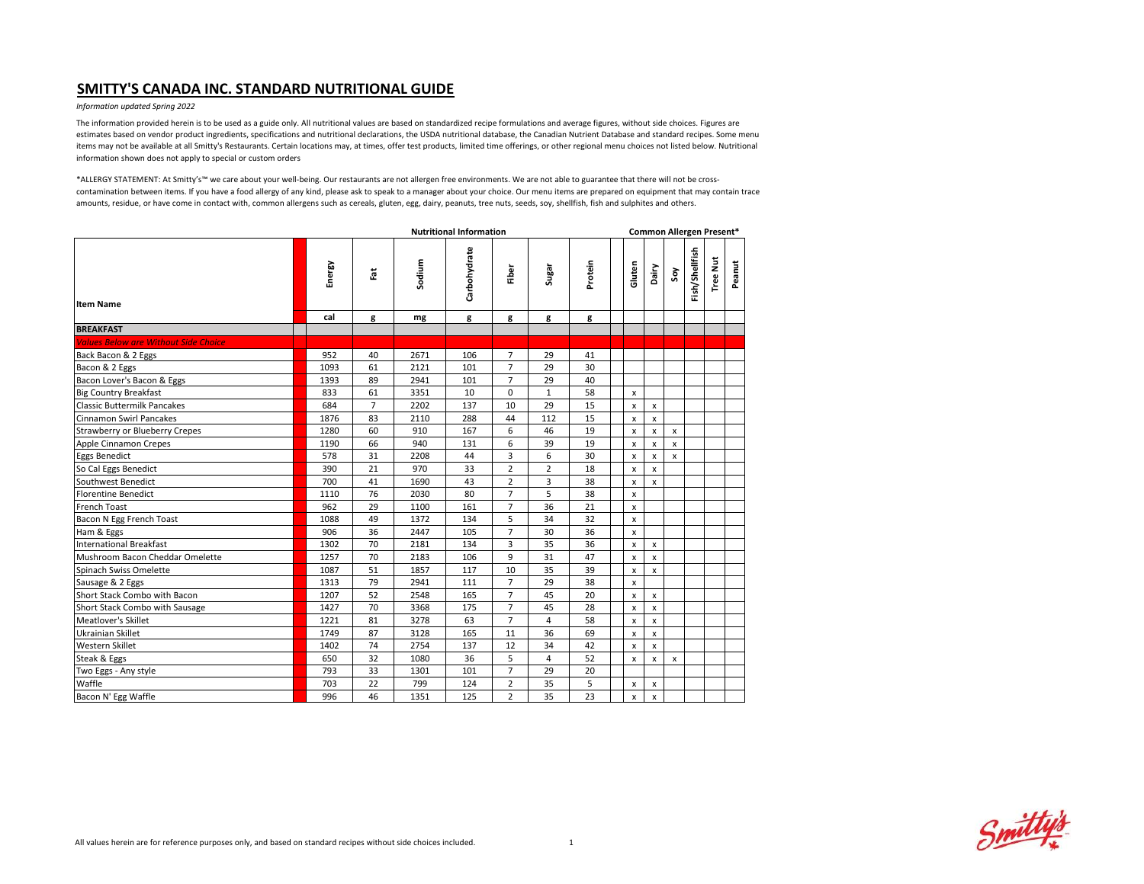#### *Information updated Spring 2022*

The information provided herein is to be used as a guide only. All nutritional values are based on standardized recipe formulations and average figures, without side choices. Figures are estimates based on vendor product ingredients, specifications and nutritional declarations, the USDA nutritional database, the Canadian Nutrient Database and standard recipes. Some menu items may not be available at all Smitty's Restaurants. Certain locations may, at times, offer test products, limited time offerings, or other regional menu choices not listed below. Nutritional information shown does not apply to special or custom orders

|                                             | <b>Nutritional Information</b> |                |        |              |                |                |         |                |                           | Common Allergen Present*  |                |                 |        |  |  |  |  |
|---------------------------------------------|--------------------------------|----------------|--------|--------------|----------------|----------------|---------|----------------|---------------------------|---------------------------|----------------|-----------------|--------|--|--|--|--|
| <b>Item Name</b>                            | Energy                         | $\tilde{\Xi}$  | Sodium | Carbohydrate | Fiber          | Sugar          | Protein | Gluten         | Dairy                     | Soy                       | Fish/Shellfish | <b>Tree Nut</b> | Peanut |  |  |  |  |
|                                             | cal                            | g              | mg     | g            | g              | g              | g       |                |                           |                           |                |                 |        |  |  |  |  |
| <b>BREAKFAST</b>                            |                                |                |        |              |                |                |         |                |                           |                           |                |                 |        |  |  |  |  |
| <b>Values Below are Without Side Choice</b> |                                |                |        |              |                |                |         |                |                           |                           |                |                 |        |  |  |  |  |
| Back Bacon & 2 Eggs                         | 952                            | 40             | 2671   | 106          | $\overline{7}$ | 29             | 41      |                |                           |                           |                |                 |        |  |  |  |  |
| Bacon & 2 Eggs                              | 1093                           | 61             | 2121   | 101          | $\overline{7}$ | 29             | 30      |                |                           |                           |                |                 |        |  |  |  |  |
| Bacon Lover's Bacon & Eggs                  | 1393                           | 89             | 2941   | 101          | $\overline{7}$ | 29             | 40      |                |                           |                           |                |                 |        |  |  |  |  |
| <b>Big Country Breakfast</b>                | 833                            | 61             | 3351   | 10           | $\mathbf 0$    | $\mathbf{1}$   | 58      | $\mathsf{x}$   |                           |                           |                |                 |        |  |  |  |  |
| <b>Classic Buttermilk Pancakes</b>          | 684                            | $\overline{7}$ | 2202   | 137          | 10             | 29             | 15      | x              | x                         |                           |                |                 |        |  |  |  |  |
| <b>Cinnamon Swirl Pancakes</b>              | 1876                           | 83             | 2110   | 288          | 44             | 112            | 15      | x              | $\mathsf{x}$              |                           |                |                 |        |  |  |  |  |
| Strawberry or Blueberry Crepes              | 1280                           | 60             | 910    | 167          | 6              | 46             | 19      | x              | x                         | $\boldsymbol{\mathsf{x}}$ |                |                 |        |  |  |  |  |
| Apple Cinnamon Crepes                       | 1190                           | 66             | 940    | 131          | 6              | 39             | 19      | x              | x                         | $\boldsymbol{\mathsf{x}}$ |                |                 |        |  |  |  |  |
| <b>Eggs Benedict</b>                        | 578                            | 31             | 2208   | 44           | 3              | 6              | 30      | x              | X                         | $\boldsymbol{\mathsf{x}}$ |                |                 |        |  |  |  |  |
| So Cal Eggs Benedict                        | 390                            | 21             | 970    | 33           | $\overline{2}$ | $\overline{2}$ | 18      | x              | $\mathsf{x}$              |                           |                |                 |        |  |  |  |  |
| Southwest Benedict                          | 700                            | 41             | 1690   | 43           | $\overline{2}$ | 3              | 38      | x              | $\mathsf{x}$              |                           |                |                 |        |  |  |  |  |
| <b>Florentine Benedict</b>                  | 1110                           | 76             | 2030   | 80           | $\overline{7}$ | 5              | 38      | x              |                           |                           |                |                 |        |  |  |  |  |
| <b>French Toast</b>                         | 962                            | 29             | 1100   | 161          | $\overline{7}$ | 36             | 21      | x              |                           |                           |                |                 |        |  |  |  |  |
| Bacon N Egg French Toast                    | 1088                           | 49             | 1372   | 134          | 5              | 34             | 32      | x              |                           |                           |                |                 |        |  |  |  |  |
| Ham & Eggs                                  | 906                            | 36             | 2447   | 105          | $\overline{7}$ | 30             | 36      | x              |                           |                           |                |                 |        |  |  |  |  |
| <b>International Breakfast</b>              | 1302                           | 70             | 2181   | 134          | 3              | 35             | 36      | x              | X                         |                           |                |                 |        |  |  |  |  |
| Mushroom Bacon Cheddar Omelette             | 1257                           | 70             | 2183   | 106          | 9              | 31             | 47      | x              | X                         |                           |                |                 |        |  |  |  |  |
| Spinach Swiss Omelette                      | 1087                           | 51             | 1857   | 117          | 10             | 35             | 39      | x              | x                         |                           |                |                 |        |  |  |  |  |
| Sausage & 2 Eggs                            | 1313                           | 79             | 2941   | 111          | $\overline{7}$ | 29             | 38      | $\mathsf{x}$   |                           |                           |                |                 |        |  |  |  |  |
| Short Stack Combo with Bacon                | 1207                           | 52             | 2548   | 165          | $\overline{7}$ | 45             | 20      | x              | X                         |                           |                |                 |        |  |  |  |  |
| Short Stack Combo with Sausage              | 1427                           | 70             | 3368   | 175          | $\overline{7}$ | 45             | 28      | x              | X                         |                           |                |                 |        |  |  |  |  |
| Meatlover's Skillet                         | 1221                           | 81             | 3278   | 63           | $\overline{7}$ | $\overline{4}$ | 58      | $\pmb{\times}$ | $\mathsf{x}$              |                           |                |                 |        |  |  |  |  |
| <b>Ukrainian Skillet</b>                    | 1749                           | 87             | 3128   | 165          | 11             | 36             | 69      | $\mathsf{x}$   | $\mathsf{x}$              |                           |                |                 |        |  |  |  |  |
| Western Skillet                             | 1402                           | 74             | 2754   | 137          | 12             | 34             | 42      | X              | $\boldsymbol{\mathsf{x}}$ |                           |                |                 |        |  |  |  |  |
| Steak & Eggs                                | 650                            | 32             | 1080   | 36           | 5              | $\overline{4}$ | 52      | $\mathsf{x}$   | $\mathsf{x}$              | $\boldsymbol{\mathsf{x}}$ |                |                 |        |  |  |  |  |
| Two Eggs - Any style                        | 793                            | 33             | 1301   | 101          | $\overline{7}$ | 29             | 20      |                |                           |                           |                |                 |        |  |  |  |  |
| Waffle                                      | 703                            | 22             | 799    | 124          | $\overline{2}$ | 35             | 5       | x              | x                         |                           |                |                 |        |  |  |  |  |
| Bacon N' Egg Waffle                         | 996                            | 46             | 1351   | 125          | $\overline{2}$ | 35             | 23      | $\pmb{\times}$ | $\boldsymbol{\mathsf{x}}$ |                           |                |                 |        |  |  |  |  |

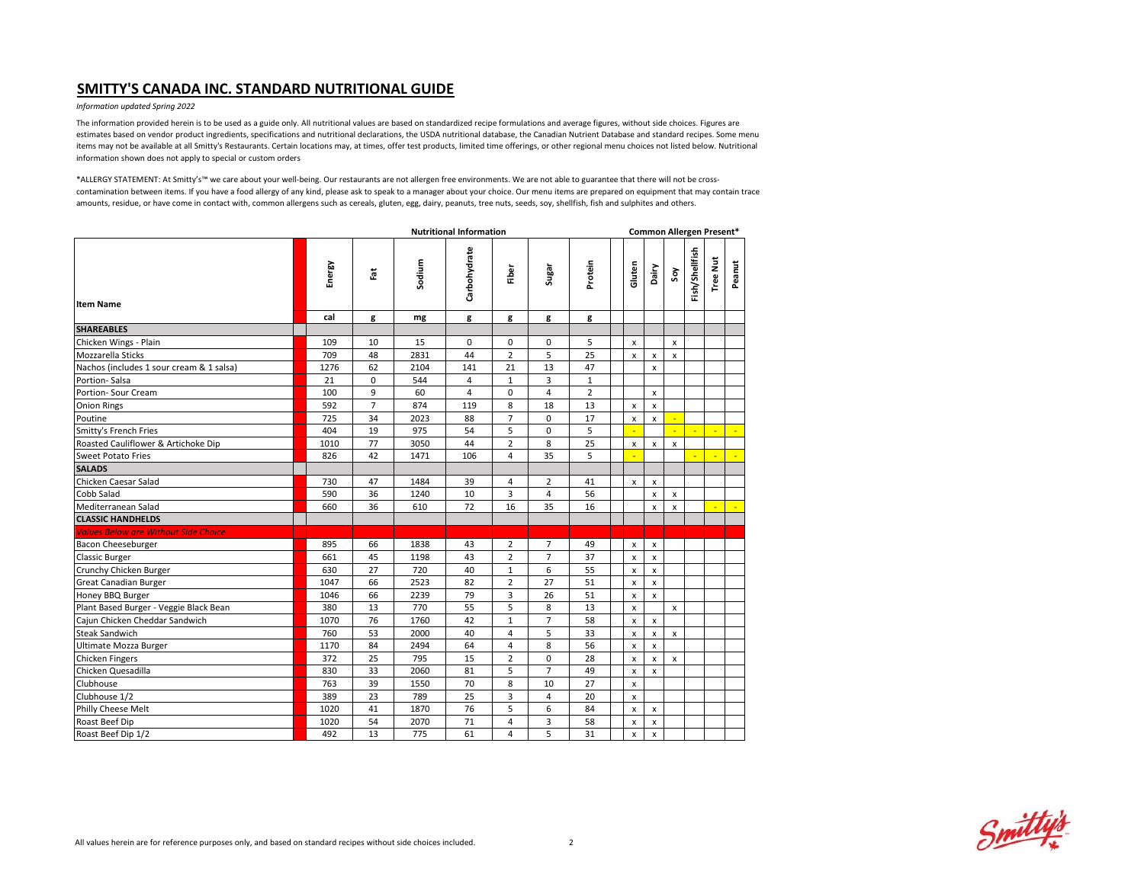### *Information updated Spring 2022*

The information provided herein is to be used as a guide only. All nutritional values are based on standardized recipe formulations and average figures, without side choices. Figures are estimates based on vendor product ingredients, specifications and nutritional declarations, the USDA nutritional database, the Canadian Nutrient Database and standard recipes. Some menu items may not be available at all Smitty's Restaurants. Certain locations may, at times, offer test products, limited time offerings, or other regional menu choices not listed below. Nutritional information shown does not apply to special or custom orders

|                                             | <b>Nutritional Information</b> |                |        |                |                |                |                |  |                    |                           |              |                | Common Allergen Present* |              |
|---------------------------------------------|--------------------------------|----------------|--------|----------------|----------------|----------------|----------------|--|--------------------|---------------------------|--------------|----------------|--------------------------|--------------|
| <b>Item Name</b>                            | Energy                         | Ĭ              | Sodium | Carbohydrate   | Fiber          | Sugar          | Protein        |  | Gluten             | Dairy                     | ξ            | Fish/Shellfish | <b>Tree Nut</b>          | Peanut       |
|                                             | cal                            | g              | mg     | g              | g              | g              | g              |  |                    |                           |              |                |                          |              |
| <b>SHAREABLES</b>                           |                                |                |        |                |                |                |                |  |                    |                           |              |                |                          |              |
| Chicken Wings - Plain                       | 109                            | 10             | 15     | $\mathbf 0$    | $\mathbf 0$    | $\mathbf 0$    | 5              |  | x                  |                           | x            |                |                          |              |
| Mozzarella Sticks                           | 709                            | 48             | 2831   | 44             | $\overline{2}$ | 5              | 25             |  | $\mathsf{x}$       | $\mathsf{x}$              | $\mathsf{x}$ |                |                          |              |
| Nachos (includes 1 sour cream & 1 salsa)    | 1276                           | 62             | 2104   | 141            | 21             | 13             | 47             |  |                    | x                         |              |                |                          |              |
| Portion-Salsa                               | 21                             | 0              | 544    | $\overline{4}$ | $\mathbf{1}$   | 3              | $\mathbf{1}$   |  |                    |                           |              |                |                          |              |
| Portion- Sour Cream                         | 100                            | 9              | 60     | 4              | $\mathbf 0$    | 4              | $\overline{2}$ |  |                    | x                         |              |                |                          |              |
| <b>Onion Rings</b>                          | 592                            | $\overline{7}$ | 874    | 119            | 8              | 18             | 13             |  | $\pmb{\times}$     | x                         |              |                |                          |              |
| Poutine                                     | 725                            | 34             | 2023   | 88             | $\overline{7}$ | $\Omega$       | 17             |  | $\mathsf{x}$       | $\mathsf{x}$              |              |                |                          |              |
| Smitty's French Fries                       | 404                            | 19             | 975    | 54             | 5              | $\Omega$       | 5              |  |                    |                           |              |                |                          | <b>Ca</b>    |
| Roasted Cauliflower & Artichoke Dip         | 1010                           | 77             | 3050   | 44             | $\overline{2}$ | 8              | 25             |  | $\pmb{\times}$     | x                         | $\mathsf{x}$ |                |                          |              |
| <b>Sweet Potato Fries</b>                   | 826                            | 42             | 1471   | 106            | 4              | 35             | 5              |  | ÷                  |                           |              | ÷              |                          | $\mathbb{Z}$ |
| <b>SALADS</b>                               |                                |                |        |                |                |                |                |  |                    |                           |              |                |                          |              |
| Chicken Caesar Salad                        | 730                            | 47             | 1484   | 39             | 4              | $\overline{2}$ | 41             |  | $\pmb{\mathsf{x}}$ | x                         |              |                |                          |              |
| Cobb Salad                                  | 590                            | 36             | 1240   | 10             | 3              | $\overline{4}$ | 56             |  |                    | $\mathsf{x}$              | x            |                |                          |              |
| Mediterranean Salad                         | 660                            | 36             | 610    | 72             | 16             | 35             | 16             |  |                    | $\boldsymbol{\mathsf{x}}$ | x            |                |                          | ×.           |
| <b>CLASSIC HANDHELDS</b>                    |                                |                |        |                |                |                |                |  |                    |                           |              |                |                          |              |
| <b>Values Below are Without Side Choice</b> |                                |                |        |                |                |                |                |  |                    |                           |              |                |                          |              |
| Bacon Cheeseburger                          | 895                            | 66             | 1838   | 43             | $\overline{2}$ | $\overline{7}$ | 49             |  | x                  | x                         |              |                |                          |              |
| <b>Classic Burger</b>                       | 661                            | 45             | 1198   | 43             | $\overline{2}$ | $\overline{7}$ | 37             |  | $\pmb{\times}$     | x                         |              |                |                          |              |
| Crunchy Chicken Burger                      | 630                            | 27             | 720    | 40             | $\mathbf{1}$   | 6              | 55             |  | $\pmb{\times}$     | x                         |              |                |                          |              |
| Great Canadian Burger                       | 1047                           | 66             | 2523   | 82             | $\overline{2}$ | 27             | 51             |  | x                  | x                         |              |                |                          |              |
| Honey BBQ Burger                            | 1046                           | 66             | 2239   | 79             | 3              | 26             | 51             |  | $\mathsf{x}$       | $\mathsf{x}$              |              |                |                          |              |
| Plant Based Burger - Veggie Black Bean      | 380                            | 13             | 770    | 55             | 5              | 8              | 13             |  | $\mathsf{x}$       |                           | x            |                |                          |              |
| Caiun Chicken Cheddar Sandwich              | 1070                           | 76             | 1760   | 42             | $\mathbf{1}$   | $\overline{7}$ | 58             |  | $\pmb{\times}$     | x                         |              |                |                          |              |
| <b>Steak Sandwich</b>                       | 760                            | 53             | 2000   | 40             | 4              | 5              | 33             |  | $\mathsf{x}$       | x                         | x            |                |                          |              |
| Ultimate Mozza Burger                       | 1170                           | 84             | 2494   | 64             | $\overline{4}$ | 8              | 56             |  | $\mathsf{x}$       | x                         |              |                |                          |              |
| <b>Chicken Fingers</b>                      | 372                            | 25             | 795    | 15             | $\overline{2}$ | $\Omega$       | 28             |  | x                  | X                         | x            |                |                          |              |
| Chicken Quesadilla                          | 830                            | 33             | 2060   | 81             | 5              | $\overline{7}$ | 49             |  | $\mathsf{x}$       | $\mathsf{x}$              |              |                |                          |              |
| Clubhouse                                   | 763                            | 39             | 1550   | 70             | 8              | 10             | 27             |  | $\pmb{\times}$     |                           |              |                |                          |              |
| Clubhouse 1/2                               | 389                            | 23             | 789    | 25             | 3              | $\overline{4}$ | 20             |  | $\pmb{\times}$     |                           |              |                |                          |              |
| Philly Cheese Melt                          | 1020                           | 41             | 1870   | 76             | 5              | 6              | 84             |  | $\mathsf{x}$       | $\times$                  |              |                |                          |              |
| Roast Beef Dip                              | 1020                           | 54             | 2070   | 71             | $\overline{4}$ | 3              | 58             |  | $\mathsf{x}$       | x                         |              |                |                          |              |
| Roast Beef Dip 1/2                          | 492                            | 13             | 775    | 61             | 4              | 5              | 31             |  | $\mathsf{x}$       | $\mathsf{x}$              |              |                |                          |              |

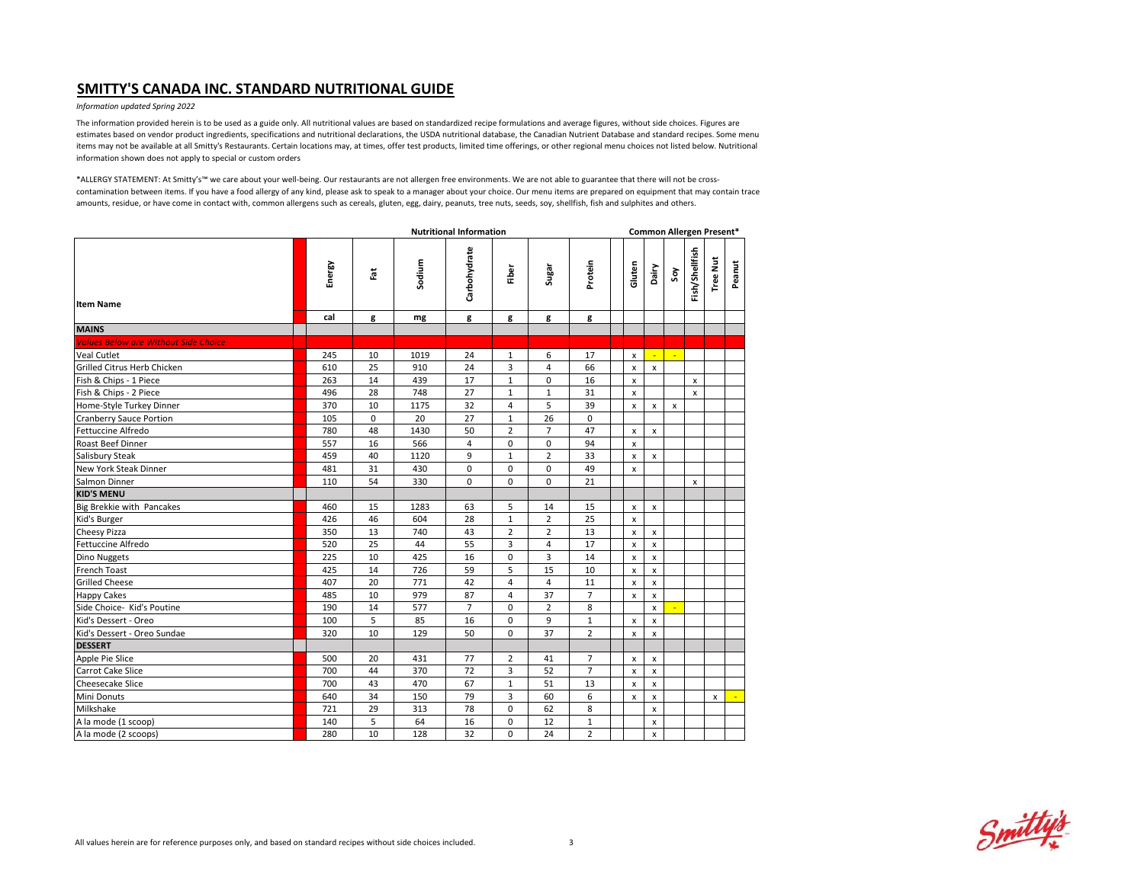#### *Information updated Spring 2022*

The information provided herein is to be used as a guide only. All nutritional values are based on standardized recipe formulations and average figures, without side choices. Figures are estimates based on vendor product ingredients, specifications and nutritional declarations, the USDA nutritional database, the Canadian Nutrient Database and standard recipes. Some menu items may not be available at all Smitty's Restaurants. Certain locations may, at times, offer test products, limited time offerings, or other regional menu choices not listed below. Nutritional information shown does not apply to special or custom orders

|                                             | <b>Nutritional Information</b> |          |        |                |                |                |                |                    | Common Allergen Present*  |                           |                |                 |              |  |  |  |
|---------------------------------------------|--------------------------------|----------|--------|----------------|----------------|----------------|----------------|--------------------|---------------------------|---------------------------|----------------|-----------------|--------------|--|--|--|
| <b>Item Name</b>                            | Energy                         | Ĭã       | Sodium | Carbohydrate   | Fiber          | Sugar          | Protein        | Gluten             | Dairy                     | Soy                       | Fish/Shellfish | <b>Tree Nut</b> | Peanut       |  |  |  |
|                                             | cal                            | g        | mg     | g              | g              | g              | g              |                    |                           |                           |                |                 |              |  |  |  |
| <b>MAINS</b>                                |                                |          |        |                |                |                |                |                    |                           |                           |                |                 |              |  |  |  |
| <b>Values Below are Without Side Choice</b> |                                |          |        |                |                |                |                |                    |                           |                           |                |                 |              |  |  |  |
| Veal Cutlet                                 | 245                            | 10       | 1019   | 24             | $\mathbf 1$    | 6              | 17             | x                  | u,                        | $\mathbb{Z}$              |                |                 |              |  |  |  |
| Grilled Citrus Herb Chicken                 | 610                            | 25       | 910    | 24             | 3              | $\overline{4}$ | 66             | $\pmb{\times}$     | $\mathsf{x}$              |                           |                |                 |              |  |  |  |
| Fish & Chips - 1 Piece                      | 263                            | 14       | 439    | 17             | $1\,$          | 0              | 16             | x                  |                           |                           | x              |                 |              |  |  |  |
| Fish & Chips - 2 Piece                      | 496                            | 28       | 748    | 27             | $\mathbf 1$    | $\mathbf{1}$   | 31             | x                  |                           |                           | $\mathsf{x}$   |                 |              |  |  |  |
| Home-Style Turkey Dinner                    | 370                            | 10       | 1175   | 32             | $\overline{4}$ | 5              | 39             | $\mathsf{x}$       | $\boldsymbol{\mathsf{x}}$ | $\boldsymbol{\mathsf{x}}$ |                |                 |              |  |  |  |
| <b>Cranberry Sauce Portion</b>              | 105                            | $\Omega$ | 20     | 27             | $\mathbf{1}$   | 26             | $\Omega$       |                    |                           |                           |                |                 |              |  |  |  |
| Fettuccine Alfredo                          | 780                            | 48       | 1430   | 50             | $\overline{2}$ | $\overline{7}$ | 47             | x                  | $\mathsf{x}$              |                           |                |                 |              |  |  |  |
| Roast Beef Dinner                           | 557                            | 16       | 566    | 4              | $\mathbf 0$    | $\Omega$       | 94             | $\mathsf{x}$       |                           |                           |                |                 |              |  |  |  |
| Salisbury Steak                             | 459                            | 40       | 1120   | 9              | $\mathbf{1}$   | $\overline{2}$ | 33             | x                  | $\mathsf{x}$              |                           |                |                 |              |  |  |  |
| New York Steak Dinner                       | 481                            | 31       | 430    | 0              | $\mathbf 0$    | $\mathbf 0$    | 49             | $\pmb{\times}$     |                           |                           |                |                 |              |  |  |  |
| Salmon Dinner                               | 110                            | 54       | 330    | 0              | $\mathbf 0$    | $\Omega$       | 21             |                    |                           |                           | $\mathsf{x}$   |                 |              |  |  |  |
| <b>KID'S MENU</b>                           |                                |          |        |                |                |                |                |                    |                           |                           |                |                 |              |  |  |  |
| Big Brekkie with Pancakes                   | 460                            | 15       | 1283   | 63             | 5              | 14             | 15             | $\pmb{\mathsf{x}}$ | $\boldsymbol{\mathsf{x}}$ |                           |                |                 |              |  |  |  |
| Kid's Burger                                | 426                            | 46       | 604    | 28             | $\mathbf 1$    | $\overline{2}$ | 25             | $\mathsf{x}$       |                           |                           |                |                 |              |  |  |  |
| Cheesy Pizza                                | 350                            | 13       | 740    | 43             | $\overline{2}$ | $\overline{2}$ | 13             | $\pmb{\mathsf{x}}$ | $\pmb{\chi}$              |                           |                |                 |              |  |  |  |
| Fettuccine Alfredo                          | 520                            | 25       | 44     | 55             | 3              | $\overline{4}$ | 17             | x                  | $\mathsf{x}$              |                           |                |                 |              |  |  |  |
| Dino Nuggets                                | 225                            | 10       | 425    | 16             | $\mathbf 0$    | 3              | 14             | $\pmb{\times}$     | x                         |                           |                |                 |              |  |  |  |
| French Toast                                | 425                            | 14       | 726    | 59             | 5              | 15             | 10             | $\pmb{\mathsf{x}}$ | $\boldsymbol{\mathsf{x}}$ |                           |                |                 |              |  |  |  |
| <b>Grilled Cheese</b>                       | 407                            | 20       | 771    | 42             | $\overline{4}$ | $\overline{4}$ | 11             | $\pmb{\times}$     | $\pmb{\times}$            |                           |                |                 |              |  |  |  |
| <b>Happy Cakes</b>                          | 485                            | 10       | 979    | 87             | $\overline{4}$ | 37             | $\overline{7}$ | $\pmb{\times}$     | $\pmb{\times}$            |                           |                |                 |              |  |  |  |
| Side Choice- Kid's Poutine                  | 190                            | 14       | 577    | $\overline{7}$ | $\mathsf 0$    | $\overline{2}$ | 8              |                    | $\pmb{\times}$            | ÷.                        |                |                 |              |  |  |  |
| Kid's Dessert - Oreo                        | 100                            | 5        | 85     | 16             | $\mathbf 0$    | 9              | $\mathbf{1}$   | x                  | $\mathsf{x}$              |                           |                |                 |              |  |  |  |
| Kid's Dessert - Oreo Sundae                 | 320                            | 10       | 129    | 50             | $\mathbf 0$    | 37             | $\overline{2}$ | x                  | $\mathsf{x}$              |                           |                |                 |              |  |  |  |
| <b>DESSERT</b>                              |                                |          |        |                |                |                |                |                    |                           |                           |                |                 |              |  |  |  |
| Apple Pie Slice                             | 500                            | 20       | 431    | 77             | $\overline{2}$ | 41             | $\overline{7}$ | x                  | $\pmb{\chi}$              |                           |                |                 |              |  |  |  |
| Carrot Cake Slice                           | 700                            | 44       | 370    | 72             | 3              | 52             | $\overline{7}$ | $\pmb{\times}$     | $\mathsf{x}$              |                           |                |                 |              |  |  |  |
| Cheesecake Slice                            | 700                            | 43       | 470    | 67             | $1\,$          | 51             | 13             | $\pmb{\mathsf{x}}$ | $\mathsf{x}$              |                           |                |                 |              |  |  |  |
| Mini Donuts                                 | 640                            | 34       | 150    | 79             | 3              | 60             | 6              | $\pmb{\times}$     | x                         |                           |                | x               | $\mathbf{u}$ |  |  |  |
| Milkshake                                   | 721                            | 29       | 313    | 78             | 0              | 62             | 8              |                    | $\pmb{\times}$            |                           |                |                 |              |  |  |  |
| A la mode (1 scoop)                         | 140                            | 5        | 64     | 16             | $\mathbf 0$    | 12             | $\mathbf{1}$   |                    | $\pmb{\times}$            |                           |                |                 |              |  |  |  |
| A la mode (2 scoops)                        | 280                            | 10       | 128    | 32             | $\Omega$       | 24             | $\overline{2}$ |                    | $\mathsf{x}$              |                           |                |                 |              |  |  |  |

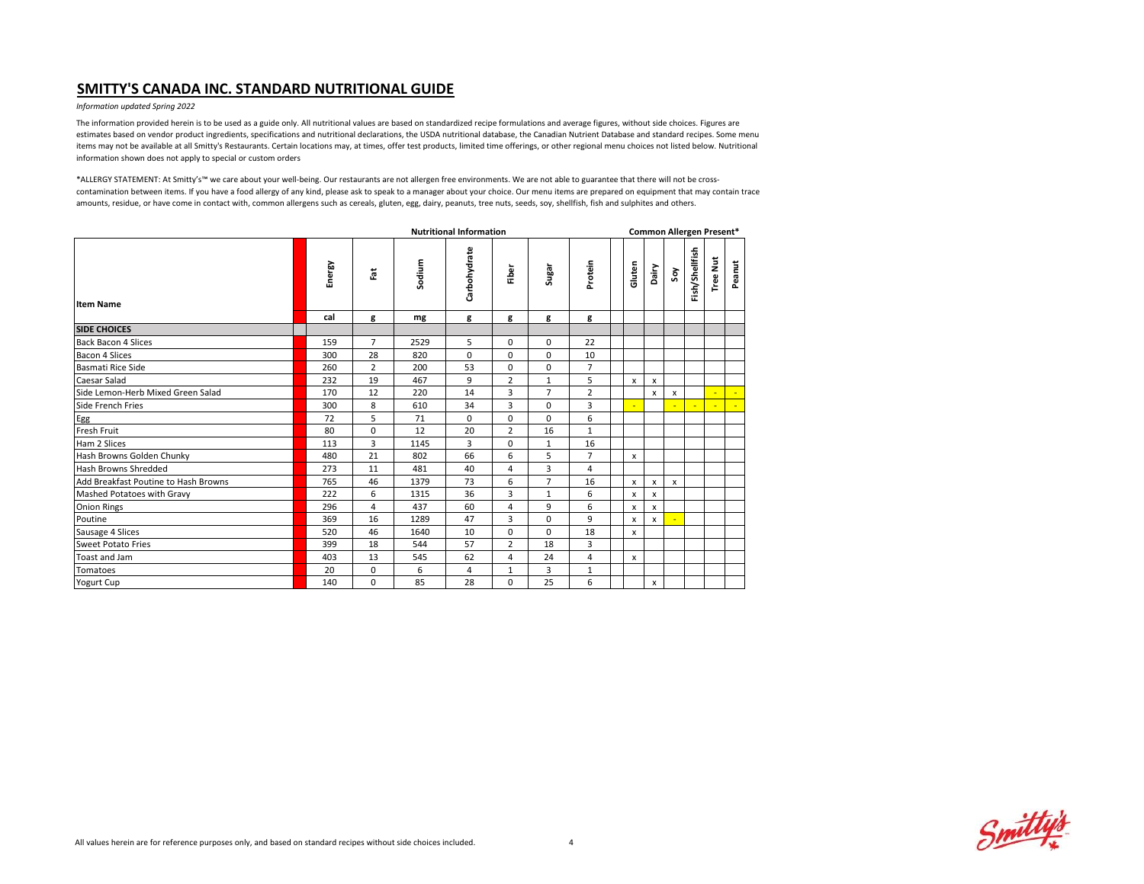#### *Information updated Spring 2022*

The information provided herein is to be used as a guide only. All nutritional values are based on standardized recipe formulations and average figures, without side choices. Figures are estimates based on vendor product ingredients, specifications and nutritional declarations, the USDA nutritional database, the Canadian Nutrient Database and standard recipes. Some menu items may not be available at all Smitty's Restaurants. Certain locations may, at times, offer test products, limited time offerings, or other regional menu choices not listed below. Nutritional information shown does not apply to special or custom orders

|                                      | <b>Nutritional Information</b> |                |        |              |                |                |                |  |                     | Common Allergen Present* |                  |                |                 |        |  |  |  |  |  |
|--------------------------------------|--------------------------------|----------------|--------|--------------|----------------|----------------|----------------|--|---------------------|--------------------------|------------------|----------------|-----------------|--------|--|--|--|--|--|
| <b>Item Name</b>                     | Energy                         | Fat            | Sodium | Carbohydrate | Fiber          | Sugar          | Protein        |  | Gluten<br>Dairy     |                          | Soy              | Fish/Shellfish | <b>Tree Nut</b> | Peanut |  |  |  |  |  |
|                                      | cal                            | g              | mg     | g            | g              | g              | g              |  |                     |                          |                  |                |                 |        |  |  |  |  |  |
| <b>SIDE CHOICES</b>                  |                                |                |        |              |                |                |                |  |                     |                          |                  |                |                 |        |  |  |  |  |  |
| <b>Back Bacon 4 Slices</b>           | 159                            | $\overline{7}$ | 2529   | 5            | $\mathbf 0$    | $\mathbf 0$    | 22             |  |                     |                          |                  |                |                 |        |  |  |  |  |  |
| Bacon 4 Slices                       | 300                            | 28             | 820    | $\mathbf 0$  | $\mathbf 0$    | 0              | 10             |  |                     |                          |                  |                |                 |        |  |  |  |  |  |
| Basmati Rice Side                    | 260                            | $\overline{2}$ | 200    | 53           | $\mathbf 0$    | 0              | $\overline{7}$ |  |                     |                          |                  |                |                 |        |  |  |  |  |  |
| Caesar Salad                         | 232                            | 19             | 467    | 9            | $\overline{2}$ | $\mathbf{1}$   | 5              |  | $\mathsf{x}$<br>x   |                          |                  |                |                 |        |  |  |  |  |  |
| Side Lemon-Herb Mixed Green Salad    | 170                            | 12             | 220    | 14           | 3              | $\overline{7}$ | $\overline{2}$ |  | x                   |                          | x                |                |                 | $\sim$ |  |  |  |  |  |
| Side French Fries                    | 300                            | 8              | 610    | 34           | 3              | $\mathbf 0$    | 3              |  |                     |                          |                  |                |                 | ÷      |  |  |  |  |  |
| Egg                                  | 72                             | 5              | 71     | $\Omega$     | $\mathbf 0$    | $\Omega$       | 6              |  |                     |                          |                  |                |                 |        |  |  |  |  |  |
| <b>Fresh Fruit</b>                   | 80                             | $\mathbf 0$    | 12     | 20           | $\overline{2}$ | 16             | $\mathbf{1}$   |  |                     |                          |                  |                |                 |        |  |  |  |  |  |
| Ham 2 Slices                         | 113                            | 3              | 1145   | 3            | $\mathbf 0$    | $\mathbf{1}$   | 16             |  |                     |                          |                  |                |                 |        |  |  |  |  |  |
| Hash Browns Golden Chunky            | 480                            | 21             | 802    | 66           | 6              | 5              | $\overline{7}$ |  | x                   |                          |                  |                |                 |        |  |  |  |  |  |
| Hash Browns Shredded                 | 273                            | 11             | 481    | 40           | $\overline{4}$ | 3              | 4              |  |                     |                          |                  |                |                 |        |  |  |  |  |  |
| Add Breakfast Poutine to Hash Browns | 765                            | 46             | 1379   | 73           | 6              | $\overline{7}$ | 16             |  | $\pmb{\times}$<br>x |                          | $\boldsymbol{x}$ |                |                 |        |  |  |  |  |  |
| Mashed Potatoes with Gravy           | 222                            | 6              | 1315   | 36           | 3              | $\mathbf{1}$   | 6              |  | $\pmb{\times}$<br>x |                          |                  |                |                 |        |  |  |  |  |  |
| <b>Onion Rings</b>                   | 296                            | $\overline{4}$ | 437    | 60           | $\overline{4}$ | 9              | 6              |  | $\pmb{\times}$<br>x |                          |                  |                |                 |        |  |  |  |  |  |
| Poutine                              | 369                            | 16             | 1289   | 47           | 3              | 0              | 9              |  | x<br>x              |                          |                  |                |                 |        |  |  |  |  |  |
| Sausage 4 Slices                     | 520                            | 46             | 1640   | 10           | $\mathbf 0$    | 0              | 18             |  | x                   |                          |                  |                |                 |        |  |  |  |  |  |
| <b>Sweet Potato Fries</b>            | 399                            | 18             | 544    | 57           | $\overline{2}$ | 18             | $\overline{3}$ |  |                     |                          |                  |                |                 |        |  |  |  |  |  |
| Toast and Jam                        | 403                            | 13             | 545    | 62           | $\overline{4}$ | 24             | 4              |  | x                   |                          |                  |                |                 |        |  |  |  |  |  |
| Tomatoes                             | 20                             | $\mathbf 0$    | 6      | 4            | $1\,$          | 3              | $\mathbf{1}$   |  |                     |                          |                  |                |                 |        |  |  |  |  |  |
| Yogurt Cup                           | 140                            | $\Omega$       | 85     | 28           | $\mathbf 0$    | 25             | 6              |  | x                   |                          |                  |                |                 |        |  |  |  |  |  |